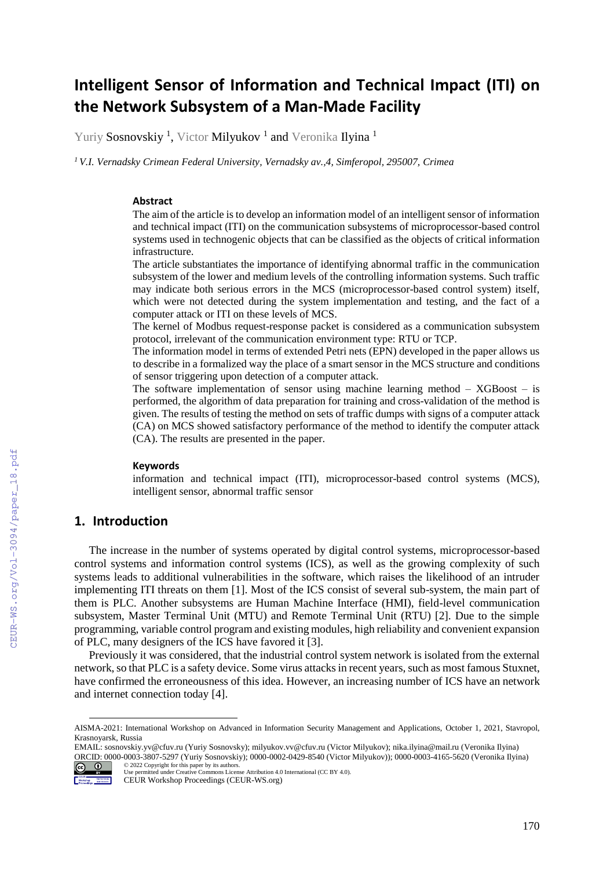# **Intelligent Sensor of Information and Technical Impact (ITI) on the Network Subsystem of a Man-Made Facility**

Yuriy **Sosnovskiy <sup>1</sup>,** Victor **Milyukov <sup>1</sup> and** Veronika **Ilyina** <sup>1</sup>

*<sup>1</sup> V.I. Vernadsky Crimean Federal University, Vernadsky av.,4, Simferopol, 295007, Crimea*

#### **Abstract**

The aim of the article is to develop an information model of an intelligent sensor of information and technical impact (ITI) on the communication subsystems of microprocessor-based control systems used in technogenic objects that can be classified as the objects of critical information infrastructure.

The article substantiates the importance of identifying abnormal traffic in the communication subsystem of the lower and medium levels of the controlling information systems. Such traffic may indicate both serious errors in the MCS (microprocessor-based control system) itself, which were not detected during the system implementation and testing, and the fact of a computer attack or ITI on these levels of MCS.

The kernel of Modbus request-response packet is considered as a communication subsystem protocol, irrelevant of the communication environment type: RTU or TCP.

The information model in terms of extended Petri nets (EPN) developed in the paper allows us to describe in a formalized way the place of a smart sensor in the MCS structure and conditions of sensor triggering upon detection of a computer attack.

The software implementation of sensor using machine learning method  $-$  XGBoost  $-$  is performed, the algorithm of data preparation for training and cross-validation of the method is given. The results of testing the method on sets of traffic dumps with signs of a computer attack (CA) on MCS showed satisfactory performance of the method to identify the computer attack (CA). The results are presented in the paper.

#### **Keywords <sup>1</sup>**

information and technical impact (ITI), microprocessor-based control systems (MCS), intelligent sensor, abnormal traffic sensor

## **1. Introduction**

The increase in the number of systems operated by digital control systems, microprocessor-based control systems and information control systems (ICS), as well as the growing complexity of such systems leads to additional vulnerabilities in the software, which raises the likelihood of an intruder implementing ITI threats on them [1]. Most of the ICS consist of several sub-system, the main part of them is PLC. Another subsystems are Human Machine Interface (HMI), field-level communication subsystem, Master Terminal Unit (MTU) and Remote Terminal Unit (RTU) [2]. Due to the simple programming, variable control program and existing modules, high reliability and convenient expansion of PLC, many designers of the ICS have favored it [3].

Previously it was considered, that the industrial control system network is isolated from the external network, so that PLC is a safety device. Some virus attacks in recent years, such as most famous Stuxnet, have confirmed the erroneousness of this idea. However, an increasing number of ICS have an network and internet connection today [4].

EMAIL: sosnovskiy.yv@cfuv.ru (Yuriy Sosnovsky); milyukov.vv@cfuv.ru (Victor Milyukov); nika.ilyina@mail.ru (Veronika Ilyina) ORCID: 0000-0003-3807-5297 (Yuriy Sosnovskiy); 0000-0002-0429-8540 (Victor Milyukov)); 0000-0003-4165-5620 (Veronika Ilyina) © 2022 Copyright for this paper by its authors.



 $\overline{a}$ 

AISMA-2021: International Workshop on Advanced in Information Security Management and Applications, October 1, 2021, Stavropol, Krasnoyarsk, Russia

Use permitted under Creative Commons License Attribution 4.0 International (CC BY 4.0).

CEUR Workshop Proceedings (CEUR-WS.org)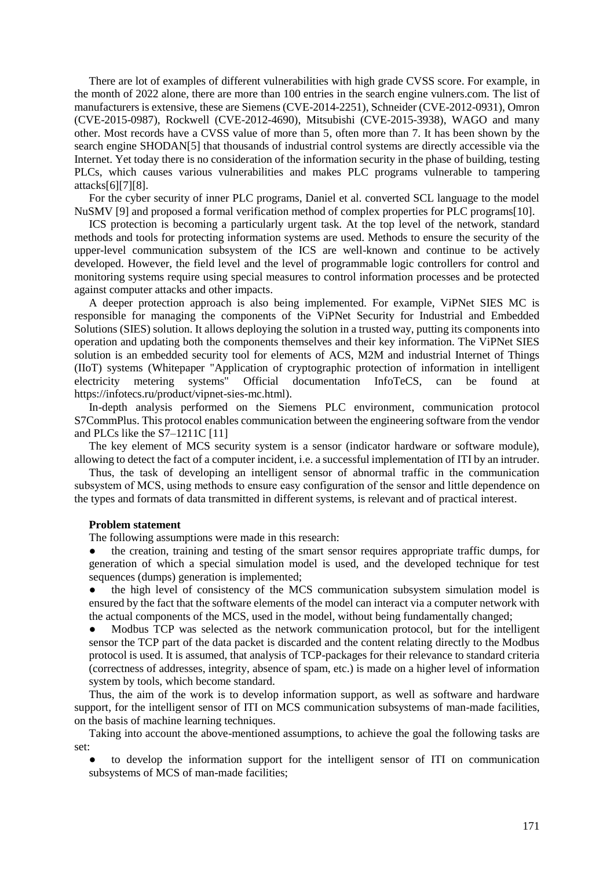There are lot of examples of different vulnerabilities with high grade CVSS score. For example, in the month of 2022 alone, there are more than 100 entries in the search engine vulners.com. The list of manufacturers is extensive, these are Siemens (CVE-2014-2251), Schneider (CVE-2012-0931), Omron (CVE-2015-0987), Rockwell (CVE-2012-4690), Mitsubishi (CVE-2015-3938), WAGO and many other. Most records have a CVSS value of more than 5, often more than 7. It has been shown by the search engine SHODAN[5] that thousands of industrial control systems are directly accessible via the Internet. Yet today there is no consideration of the information security in the phase of building, testing PLCs, which causes various vulnerabilities and makes PLC programs vulnerable to tampering attacks[6][7][8].

For the cyber security of inner PLC programs, Daniel et al. converted SCL language to the model NuSMV [9] and proposed a formal verification method of complex properties for PLC programs[10].

ICS protection is becoming a particularly urgent task. At the top level of the network, standard methods and tools for protecting information systems are used. Methods to ensure the security of the upper-level communication subsystem of the ICS are well-known and continue to be actively developed. However, the field level and the level of programmable logic controllers for control and monitoring systems require using special measures to control information processes and be protected against computer attacks and other impacts.

A deeper protection approach is also being implemented. For example, ViPNet SIES MC is responsible for managing the components of the ViPNet Security for Industrial and Embedded Solutions (SIES) solution. It allows deploying the solution in a trusted way, putting its components into operation and updating both the components themselves and their key information. The ViPNet SIES solution is an embedded security tool for elements of ACS, M2M and industrial Internet of Things (IIoT) systems (Whitepaper "Application of cryptographic protection of information in intelligent electricity metering systems" Official documentation InfoTeCS, can be found at https://infotecs.ru/product/vipnet-sies-mc.html).

In-depth analysis performed on the Siemens PLC environment, communication protocol S7CommPlus. This protocol enables communication between the engineering software from the vendor and PLCs like the S7–1211C [11]

The key element of MCS security system is a sensor (indicator hardware or software module), allowing to detect the fact of a computer incident, i.e. a successful implementation of ITI by an intruder.

Thus, the task of developing an intelligent sensor of abnormal traffic in the communication subsystem of MСS, using methods to ensure easy configuration of the sensor and little dependence on the types and formats of data transmitted in different systems, is relevant and of practical interest.

### **Problem statement**

The following assumptions were made in this research:

the creation, training and testing of the smart sensor requires appropriate traffic dumps, for generation of which a special simulation model is used, and the developed technique for test sequences (dumps) generation is implemented;

the high level of consistency of the MCS communication subsystem simulation model is ensured by the fact that the software elements of the model can interact via a computer network with the actual components of the MCS, used in the model, without being fundamentally changed;

Modbus TCP was selected as the network communication protocol, but for the intelligent sensor the TCP part of the data packet is discarded and the content relating directly to the Modbus protocol is used. It is assumed, that analysis of TCP-packages for their relevance to standard criteria (correctness of addresses, integrity, absence of spam, etc.) is made on a higher level of information system by tools, which become standard.

Thus, the aim of the work is to develop information support, as well as software and hardware support, for the intelligent sensor of ITI on MCS communication subsystems of man-made facilities, on the basis of machine learning techniques.

Taking into account the above-mentioned assumptions, to achieve the goal the following tasks are set:

to develop the information support for the intelligent sensor of ITI on communication subsystems of MCS of man-made facilities;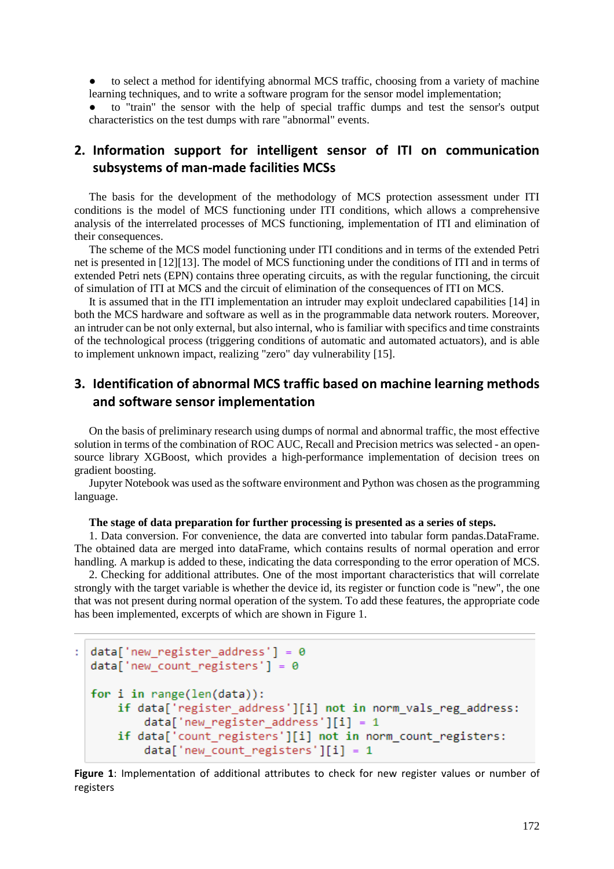to select a method for identifying abnormal MCS traffic, choosing from a variety of machine learning techniques, and to write a software program for the sensor model implementation;

to "train" the sensor with the help of special traffic dumps and test the sensor's output characteristics on the test dumps with rare "abnormal" events.

# **2. Information support for intelligent sensor of ITI on communication subsystems of man-made facilities MCSs**

The basis for the development of the methodology of MCS protection assessment under ITI conditions is the model of MCS functioning under ITI conditions, which allows a comprehensive analysis of the interrelated processes of MCS functioning, implementation of ITI and elimination of their consequences.

The scheme of the MCS model functioning under ITI conditions and in terms of the extended Petri net is presented in [12][13]. The model of MCS functioning under the conditions of ITI and in terms of extended Petri nets (EPN) contains three operating circuits, as with the regular functioning, the circuit of simulation of ITI at MCS and the circuit of elimination of the consequences of ITI on MCS.

It is assumed that in the ITI implementation an intruder may exploit undeclared capabilities [14] in both the MCS hardware and software as well as in the programmable data network routers. Moreover, an intruder can be not only external, but also internal, who is familiar with specifics and time constraints of the technological process (triggering conditions of automatic and automated actuators), and is able to implement unknown impact, realizing "zero" day vulnerability [15].

# **3. Identification of abnormal MCS traffic based on machine learning methods and software sensor implementation**

On the basis of preliminary research using dumps of normal and abnormal traffic, the most effective solution in terms of the combination of ROC AUC, Recall and Precision metrics was selected - an opensource library XGBoost, which provides a high-performance implementation of decision trees on gradient boosting.

Jupyter Notebook was used as the software environment and Python was chosen as the programming language.

### **The stage of data preparation for further processing is presented as a series of steps.**

1. Data conversion. For convenience, the data are converted into tabular form pandas.DataFrame. The obtained data are merged into dataFrame, which contains results of normal operation and error handling. A markup is added to these, indicating the data corresponding to the error operation of MCS.

2. Checking for additional attributes. One of the most important characteristics that will correlate strongly with the target variable is whether the device id, its register or function code is "new", the one that was not present during normal operation of the system. To add these features, the appropriate code has been implemented, excerpts of which are shown in Figure 1.

```
: data['new register address'] = \thetadata['new count registers'] = 0for i in range(len(data)):
if data['register_address'][i] not in norm_vals_reg_address:
    data['new-register_{address'][i] = 1if data['count_registers'][i] not in norm_count_registers:
    data['new_count_registers'][i] = 1
```
**Figure 1**: Implementation of additional attributes to check for new register values or number of registers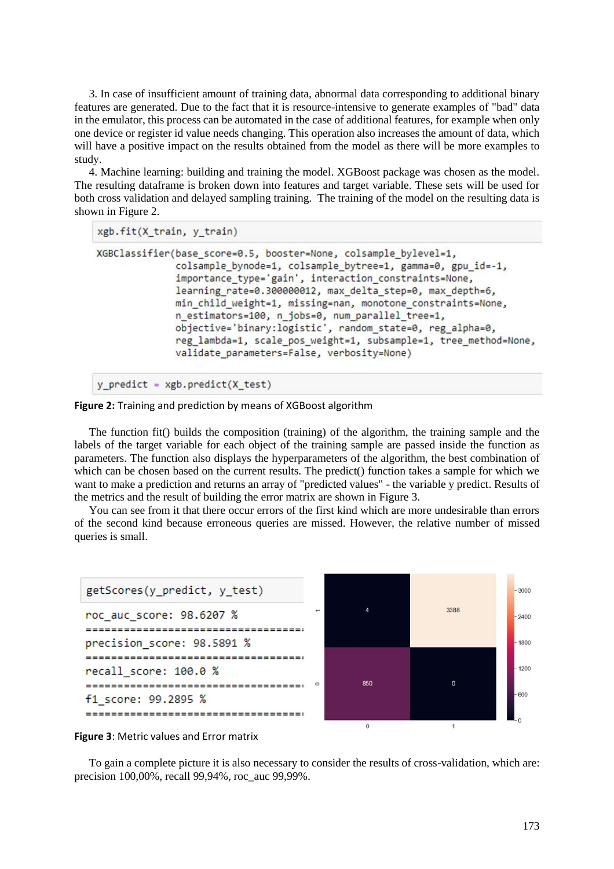3. In case of insufficient amount of training data, abnormal data corresponding to additional binary features are generated. Due to the fact that it is resource-intensive to generate examples of "bad" data in the emulator, this process can be automated in the case of additional features, for example when only one device or register id value needs changing. This operation also increases the amount of data, which will have a positive impact on the results obtained from the model as there will be more examples to study.

4. Machine learning: building and training the model. XGBoost package was chosen as the model. The resulting dataframe is broken down into features and target variable. These sets will be used for both cross validation and delayed sampling training. The training of the model on the resulting data is shown in Figure 2.

```
xgb.fit(X train, y train)
```

```
XGBClassifier(base_score=0.5, booster=None, colsample_bylevel=1,
        colsample bynode=1, colsample bytree=1, gamma=0, gpu id=-1,
        importance_type='gain', interaction_constraints=None,
        learning rate=0.300000012, max delta step=0, max depth=6,
        min child weight=1, missing=nan, monotone constraints=None,
        n estimators=100, n jobs=0, num parallel tree=1,
        objective='binary:logistic', random_state=0, reg_alpha=0,
        reg lambda=1, scale pos weight=1, subsample=1, tree method=None,
        validate parameters=False, verbosity=None)
```

```
y predict = xgb.predict(X_test)
```
**Figure 2:** Training and prediction by means of XGBoost algorithm

The function fit() builds the composition (training) of the algorithm, the training sample and the labels of the target variable for each object of the training sample are passed inside the function as parameters. The function also displays the hyperparameters of the algorithm, the best combination of which can be chosen based on the current results. The predict() function takes a sample for which we want to make a prediction and returns an array of "predicted values" - the variable y predict. Results of the metrics and the result of building the error matrix are shown in Figure 3.

You can see from it that there occur errors of the first kind which are more undesirable than errors of the second kind because erroneous queries are missed. However, the relative number of missed queries is small.





To gain a complete picture it is also necessary to consider the results of cross-validation, which are: precision 100,00%, recall 99,94%, roc\_auc 99,99%.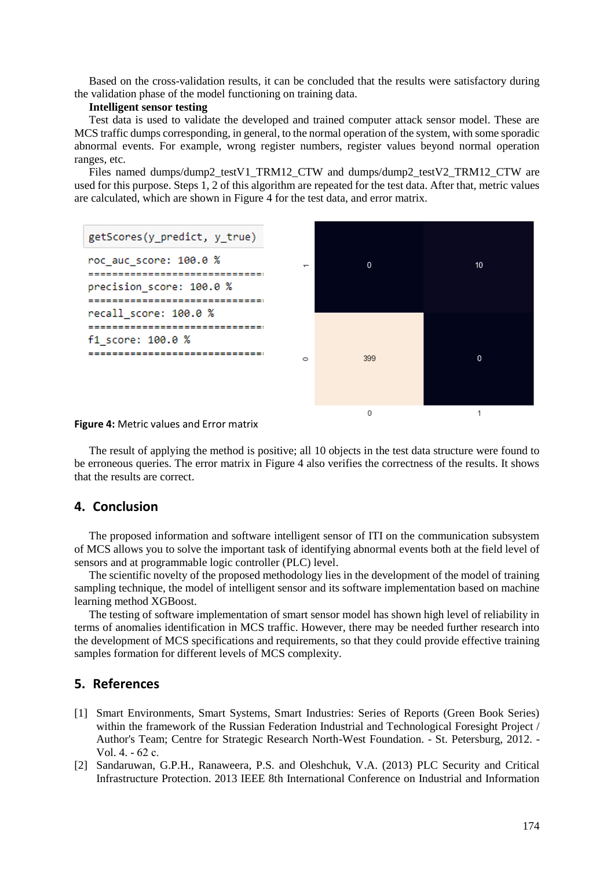Based on the cross-validation results, it can be concluded that the results were satisfactory during the validation phase of the model functioning on training data.

### **Intelligent sensor testing**

Test data is used to validate the developed and trained computer attack sensor model. These are MCS traffic dumps corresponding, in general, to the normal operation of the system, with some sporadic abnormal events. For example, wrong register numbers, register values beyond normal operation ranges, etc.

Files named dumps/dump2\_testV1\_TRM12\_CTW and dumps/dump2\_testV2\_TRM12\_CTW are used for this purpose. Steps 1, 2 of this algorithm are repeated for the test data. After that, metric values are calculated, which are shown in Figure 4 for the test data, and error matrix.



**Figure 4:** Metric values and Error matrix

The result of applying the method is positive; all 10 objects in the test data structure were found to be erroneous queries. The error matrix in Figure 4 also verifies the correctness of the results. It shows that the results are correct.

### **4. Conclusion**

The proposed information and software intelligent sensor of ITI on the communication subsystem of MCS allows you to solve the important task of identifying abnormal events both at the field level of sensors and at programmable logic controller (PLC) level.

The scientific novelty of the proposed methodology lies in the development of the model of training sampling technique, the model of intelligent sensor and its software implementation based on machine learning method XGBoost.

The testing of software implementation of smart sensor model has shown high level of reliability in terms of anomalies identification in MCS traffic. However, there may be needed further research into the development of MCS specifications and requirements, so that they could provide effective training samples formation for different levels of MCS complexity.

### **5. References**

- [1] Smart Environments, Smart Systems, Smart Industries: Series of Reports (Green Book Series) within the framework of the Russian Federation Industrial and Technological Foresight Project / Author's Team; Centre for Strategic Research North-West Foundation. - St. Petersburg, 2012. - Vol. 4. - 62 с.
- [2] Sandaruwan, G.P.H., Ranaweera, P.S. and Oleshchuk, V.A. (2013) PLC Security and Critical Infrastructure Protection. 2013 IEEE 8th International Conference on Industrial and Information